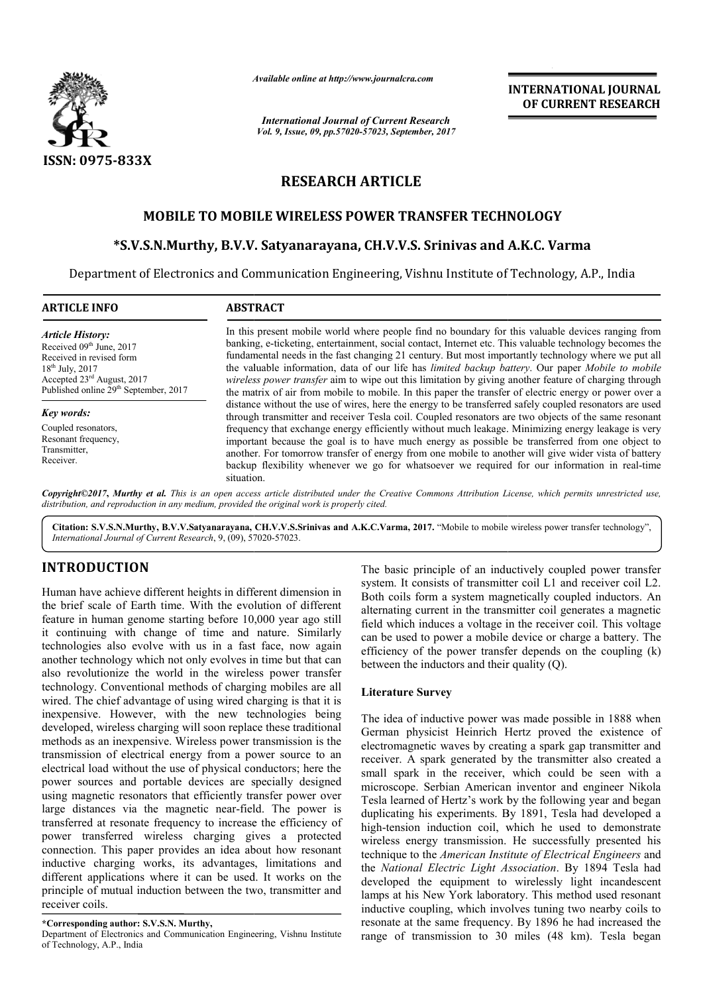

*Available online at http://www.journal http://www.journalcra.com*

*International Journal of Current Research Vol. 9, Issue, 09, pp.57020-57023, September, 2017* **INTERNATIONAL JOURNAL OF CURRENT RESEARCH** 

# **RESEARCH ARTICLE**

# **MOBILE TO MOBILE WIRELESS POWER TRANSFER TECHNOLOGY WIRELESS POWER**

## **\*S.V.S.N.Murthy, B.V.V. Satyanarayana, CH.V.V.S. Srinivas and A.K.C. Varma**

Department of Electronics and Communication Engineering, Vishnu Institute of Technology, A.P., India

### **ARTICLE INFO ABSTRACT**

*Article History:* Received 09<sup>th</sup> June, 2017 Received in revised form 18th July, 2017 Accepted 23rd August, 2017 Published online 29<sup>th</sup> September, 2017

#### *Key words:*

Coupled resonators, Resonant frequency, Transmitter, Receiver.

In this present mobile world where people find no boundary for this valuable devices ranging from banking, e e-ticketing, entertainment, social contact, Internet etc. This valuable technology becomes the In this present mobile world where people find no boundary for this valuable devices ranging from banking, e-ticketing, entertainment, social contact, Internet etc. This valuable technology becomes the fundamental needs in the valuable information, data of our life has *limited backup battery backup* . Our paper *Mobile to mobile*  wireless power transfer aim to wipe out this limitation by giving another feature of charging through the matrix of air from mobile to mobile. In this paper the transfer of electric energy or power over a distance without the use of wires, here the energy to be transferred safely coupled resonators are used through transmitter and receiver Tesla coil. Coupled resona resonators are two objects of the same resonant frequency that exchange energy efficiently without much leakage. Minimizing energy leakage is very important because the goal is to have much energy as possible be transferred from one object to another. For tomorrow transfer of energy from one mobile to another will give wider vista of battery backup flexibility whenever we go for whatsoever we required for our information in real situation. wireless power transfer aim to wipe out this limitation by giving another feature of charging through<br>the matrix of air from mobile to mobile. In this paper the transferred safely coupled resonators are used<br>distance witho

Copyright©2017, Murthy et al. This is an open access article distributed under the Creative Commons Attribution License, which permits unrestricted use, *distribution, and reproduction in any medium, provided the original work is properly cited.*

Citation: S.V.S.N.Murthy, B.V.V.Satyanarayana, CH.V.V.S.Srinivas and A.K.C.Varma, 2017. "Mobile to mobile wireless power transfer technology", *International Journal of Current Research*, 9, (09), 57020 57020-57023.

# **INTRODUCTION**

Human have achieve different heights in different dimension in the brief scale of Earth time. With the evolution of different feature in human genome starting before 10,000 year ago still it continuing with change of time and nature. Similarly technologies also evolve with us in a fast face, now again another technology which not only evolves in time but that can also revolutionize the world in the wireless power transfer technology. Conventional methods of charging mobiles are all wired. The chief advantage of using wired charging is that it is inexpensive. However, with the new technologies being developed, wireless charging will soon replace these traditional methods as an inexpensive. Wireless power transmission is the transmission of electrical energy from a power source to an electrical load without the use of physical conductors; here the power sources and portable devices are specially designed using magnetic resonators that efficiently transfer power over large distances via the magnetic near-field. The power is transferred at resonate frequency to increase the efficiency of power transferred wireless charging gives a protected connection. This paper provides an idea about how resonant inductive charging works, its advantages, limitations and different applications where it can be used. It works on the principle of mutual induction between the two, transmitter and receiver coils. e of using wired charging is that it is<br>with the new technologies being<br>ing will soon replace these traditional<br>e. Wireless power transmission is the<br>energy from a power source to an<br>use of physical conductors; here the<br>bl

Department of Electronics and Communication Engineering, Vishnu Institute of Technology, A.P., India

The basic principle of an inductively coupled power transfer system. It consists of transmitter coil L1 and receiver coil L2. system. It consists of transmitter coil L1 and receiver coil L2.<br>Both coils form a system magnetically coupled inductors. An alternating current in the transmitter coil generates a magnetic field which induces a voltage in the receiver coil. This voltage can be used to power a mobile device or charge a battery. The efficiency of the power transfer depends on the coupling (k) between the inductors and their quality (Q).

## **Literature Survey**

The idea of inductive power was made possible in 1888 when German physicist Heinrich Hertz proved the existence of electromagnetic waves by creating a spark gap transmitter and receiver. A spark generated by the transmitter also created a small spark in the receiver, which could be seen with a microscope. Serbian American inventor and engineer Nikola Tesla learned of Hertz's work by the following year and began duplicating his experiments. By 1891, Tesla had developed a high-tension induction coil, which he used to demonstrate wireless energy transmission. He successfully presented his technique to the *American Institute of Electrical Engineers* and the *National Electric Light Association Electric Association*. By 1894 Tesla had developed the equipment to wirelessly light incandescent lamps at his New York laboratory. This method used resonant inductive coupling, which involves tuning two nearby coils to resonate at the same frequency. By 1896 he had increased the range of transmission to 30 miles (48 km). Tesla began field which induces a voltage in the receiver coil. This voltage<br>can be used to power a mobile device or charge a battery. The<br>efficiency of the power transfer depends on the coupling (k)<br>between the inductors and their qu INTERNATIONAL JOURNAL<br>
INTERNATIONAL OF CURRENT RESEARCH<br>
Contents, 2017<br>
ILE<br>
ILE<br>
ILE<br>
ILE<br>
ILE<br>
ILE<br>
TRANSFER TECHNOLOGY<br>
S. STINIVAS and A.K.C. Varma<br>
Vishnu Institute of Technology, A.P., India<br>
Vishnu Institute of T

**<sup>\*</sup>Corresponding author: S.V.S.N. Murthy,**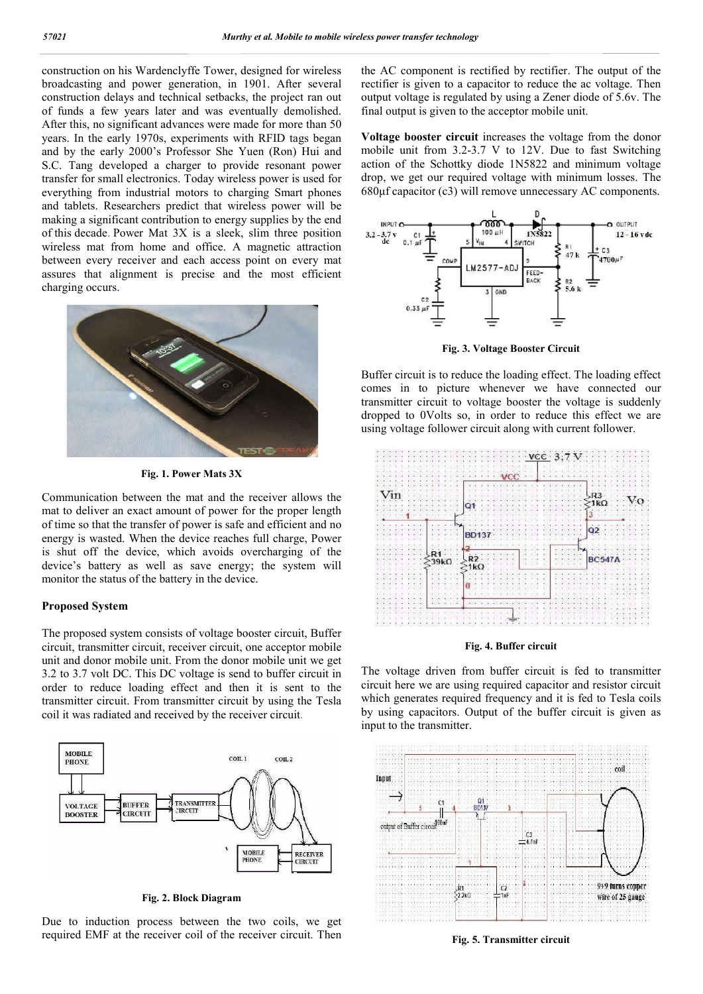construction on his Wardenclyffe Tower, designed for wireless broadcasting and power generation, in 1901. After several construction delays and technical setbacks, the project ran out of funds a few years later and was eventually demolished. After this, no significant advances were made for more than 50 years. In the early 1970s, experiments with RFID tags began and by the early 2000's Professor She Yuen (Ron) Hui and S.C. Tang developed a charger to provide resonant power transfer for small electronics. Today wireless power is used for everything from industrial motors to charging Smart phones and tablets. Researchers predict that wireless power will be making a significant contribution to energy supplies by the end of this decade. Power Mat 3X is a sleek, slim three position wireless mat from home and office. A magnetic attraction between every receiver and each access point on every mat assures that alignment is precise and the most efficient charging occurs.



**Fig. 1. Power Mats 3X**

Communication between the mat and the receiver allows the mat to deliver an exact amount of power for the proper length of time so that the transfer of power is safe and efficient and no energy is wasted. When the device reaches full charge, Power is shut off the device, which avoids overcharging of the device's battery as well as save energy; the system will monitor the status of the battery in the device.

### **Proposed System**

The proposed system consists of voltage booster circuit, Buffer circuit, transmitter circuit, receiver circuit, one acceptor mobile unit and donor mobile unit. From the donor mobile unit we get 3.2 to 3.7 volt DC. This DC voltage is send to buffer circuit in order to reduce loading effect and then it is sent to the transmitter circuit. From transmitter circuit by using the Tesla coil it was radiated and received by the receiver circuit.



**Fig. 2. Block Diagram**

Due to induction process between the two coils, we get required EMF at the receiver coil of the receiver circuit. Then the AC component is rectified by rectifier. The output of the rectifier is given to a capacitor to reduce the ac voltage. Then output voltage is regulated by using a Zener diode of 5.6v. The final output is given to the acceptor mobile unit.

**Voltage booster circuit** increases the voltage from the donor mobile unit from 3.2-3.7 V to 12V. Due to fast Switching action of the Schottky diode 1N5822 and minimum voltage drop, we get our required voltage with minimum losses. The 680μf capacitor (c3) will remove unnecessary AC components.



**Fig. 3. Voltage Booster Circuit**

Buffer circuit is to reduce the loading effect. The loading effect comes in to picture whenever we have connected our transmitter circuit to voltage booster the voltage is suddenly dropped to 0Volts so, in order to reduce this effect we are using voltage follower circuit along with current follower.



**Fig. 4. Buffer circuit**

The voltage driven from buffer circuit is fed to transmitter circuit here we are using required capacitor and resistor circuit which generates required frequency and it is fed to Tesla coils by using capacitors. Output of the buffer circuit is given as input to the transmitter.



**Fig. 5. Transmitter circuit**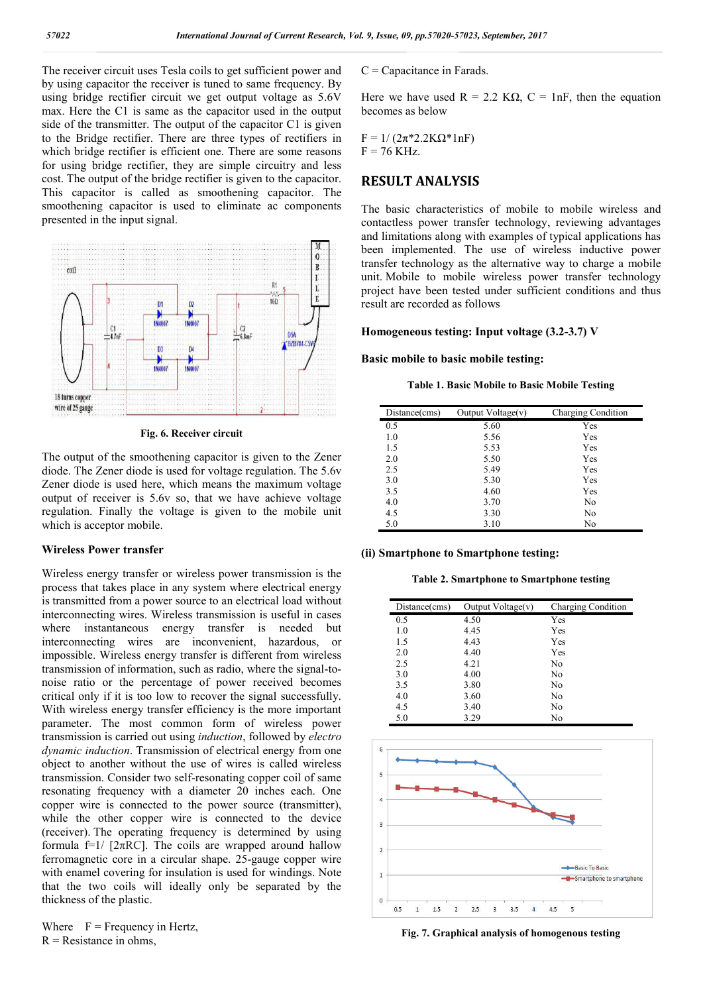The receiver circuit uses Tesla coils to get sufficient power and by using capacitor the receiver is tuned to same frequency. By using bridge rectifier circuit we get output voltage as 5.6V max. Here the C1 is same as the capacitor used in the output side of the transmitter. The output of the capacitor C1 is given to the Bridge rectifier. There are three types of rectifiers in which bridge rectifier is efficient one. There are some reasons for using bridge rectifier, they are simple circuitry and less cost. The output of the bridge rectifier is given to the capacitor. This capacitor is called as smoothening capacitor. The smoothening capacitor is used to eliminate ac components presented in the input signal.



**Fig. 6. Receiver circuit**

The output of the smoothening capacitor is given to the Zener diode. The Zener diode is used for voltage regulation. The 5.6v Zener diode is used here, which means the maximum voltage output of receiver is 5.6v so, that we have achieve voltage regulation. Finally the voltage is given to the mobile unit which is acceptor mobile.

## **Wireless Power transfer**

Wireless energy transfer or wireless power transmission is the process that takes place in any system where electrical energy is transmitted from a power source to an electrical load without interconnecting wires. Wireless transmission is useful in cases where instantaneous energy transfer is needed but interconnecting wires are inconvenient, hazardous, or impossible. Wireless energy transfer is different from wireless transmission of information, such as radio, where the signal-tonoise ratio or the percentage of power received becomes critical only if it is too low to recover the signal successfully. With wireless energy transfer efficiency is the more important parameter. The most common form of wireless power transmission is carried out using *induction*, followed by *electro dynamic induction*. Transmission of electrical energy from one object to another without the use of wires is called wireless transmission. Consider two self-resonating copper coil of same resonating frequency with a diameter 20 inches each. One copper wire is connected to the power source (transmitter), while the other copper wire is connected to the device (receiver). The operating frequency is determined by using formula f=1/ [ $2\pi RC$ ]. The coils are wrapped around hallow ferromagnetic core in a circular shape. 25-gauge copper wire with enamel covering for insulation is used for windings. Note that the two coils will ideally only be separated by the thickness of the plastic.

Where  $F = F$  Frequency in Hertz,  $R$  = Resistance in ohms,

 $C =$ Capacitance in Farads.

Here we have used  $R = 2.2$  K $\Omega$ ,  $C = 1nF$ , then the equation becomes as below

 $F = 1/(2\pi^*2.2K\Omega^*1nF)$  $F = 76$  KHz.

## **RESULT ANALYSIS**

The basic characteristics of mobile to mobile wireless and contactless power transfer technology, reviewing advantages and limitations along with examples of typical applications has been implemented. The use of wireless inductive power transfer technology as the alternative way to charge a mobile unit. Mobile to mobile wireless power transfer technology project have been tested under sufficient conditions and thus result are recorded as follows

**Homogeneous testing: Input voltage (3.2-3.7) V**

#### **Basic mobile to basic mobile testing:**

**Table 1. Basic Mobile to Basic Mobile Testing**

| Distance(cms) | Output Voltage $(v)$ | <b>Charging Condition</b> |
|---------------|----------------------|---------------------------|
| 0.5           | 5.60                 | Yes                       |
| 1.0           | 5.56                 | Yes                       |
| 1.5           | 5.53                 | Yes                       |
| 2.0           | 5.50                 | Yes                       |
| 2.5           | 5.49                 | Yes                       |
| 3.0           | 5.30                 | Yes                       |
| 3.5           | 4.60                 | Yes                       |
| 4.0           | 3.70                 | No                        |
| 4.5           | 3.30                 | No                        |
| 5.0           | 3.10                 | No                        |

#### **(ii) Smartphone to Smartphone testing:**

**Table 2. Smartphone to Smartphone testing**

| Distance(cms) | Output Voltage $(v)$ | Charging Condition |
|---------------|----------------------|--------------------|
| 0.5           | 4.50                 | Yes                |
| 1.0           | 4.45                 | Yes                |
| 1.5           | 4.43                 | Yes                |
| 2.0           | 4.40                 | Yes                |
| 2.5           | 4.21                 | No                 |
| 3.0           | 4.00                 | No                 |
| 3.5           | 3.80                 | No                 |
| 4.0           | 3.60                 | No                 |
| 4.5           | 3.40                 | No                 |
| 5.0           | 3.29                 | No                 |



**Fig. 7. Graphical analysis of homogenous testing**